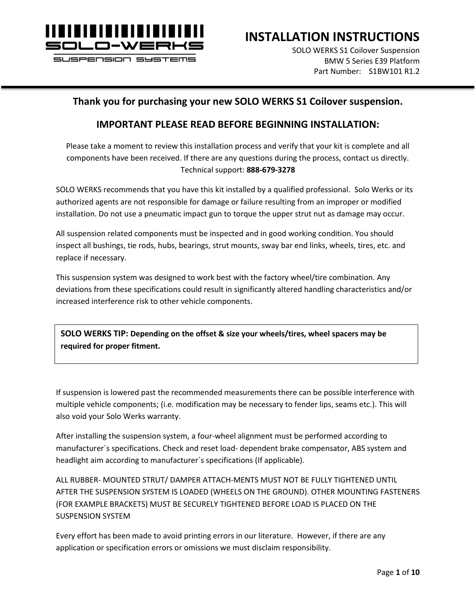

SI ISPENSION SYSTEMS

**INSTALLATION INSTRUCTIONS**

SOLO WERKS S1 Coilover Suspension BMW 5 Series E39 Platform Part Number: S1BW101 R1.2

#### **Thank you for purchasing your new SOLO WERKS S1 Coilover suspension.**

#### **IMPORTANT PLEASE READ BEFORE BEGINNING INSTALLATION:**

Please take a moment to review this installation process and verify that your kit is complete and all components have been received. If there are any questions during the process, contact us directly. Technical support: **888-679-3278**

SOLO WERKS recommends that you have this kit installed by a qualified professional. Solo Werks or its authorized agents are not responsible for damage or failure resulting from an improper or modified installation. Do not use a pneumatic impact gun to torque the upper strut nut as damage may occur.

All suspension related components must be inspected and in good working condition. You should inspect all bushings, tie rods, hubs, bearings, strut mounts, sway bar end links, wheels, tires, etc. and replace if necessary.

This suspension system was designed to work best with the factory wheel/tire combination. Any deviations from these specifications could result in significantly altered handling characteristics and/or increased interference risk to other vehicle components.

**SOLO WERKS TIP: Depending on the offset & size your wheels/tires, wheel spacers may be required for proper fitment.**

If suspension is lowered past the recommended measurements there can be possible interference with multiple vehicle components; (i.e. modification may be necessary to fender lips, seams etc.). This will also void your Solo Werks warranty.

After installing the suspension system, a four-wheel alignment must be performed according to manufacturer´s specifications. Check and reset load- dependent brake compensator, ABS system and headlight aim according to manufacturer´s specifications (If applicable).

ALL RUBBER- MOUNTED STRUT/ DAMPER ATTACH-MENTS MUST NOT BE FULLY TIGHTENED UNTIL AFTER THE SUSPENSION SYSTEM IS LOADED (WHEELS ON THE GROUND). OTHER MOUNTING FASTENERS (FOR EXAMPLE BRACKETS) MUST BE SECURELY TIGHTENED BEFORE LOAD IS PLACED ON THE SUSPENSION SYSTEM

Every effort has been made to avoid printing errors in our literature. However, if there are any application or specification errors or omissions we must disclaim responsibility.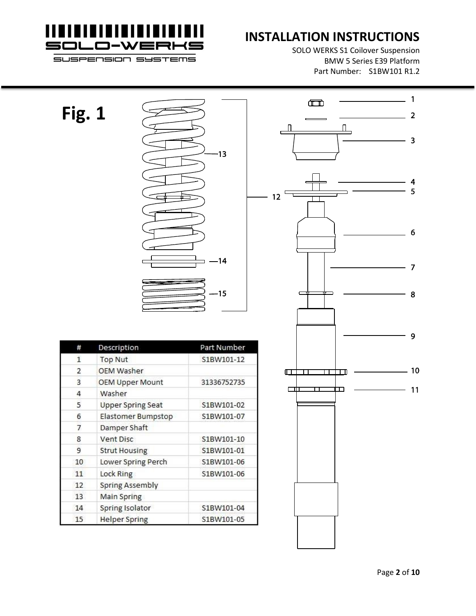

#### SUSPENSION SYSTEMS

# **INSTALLATION INSTRUCTIONS**

SOLO WERKS S1 Coilover Suspension BMW 5 Series E39 Platform Part Number: S1BW101 R1.2

|    | Fig. 1                   |             |
|----|--------------------------|-------------|
|    |                          | 13          |
|    |                          | 14<br>15    |
| #  |                          |             |
|    | Description              | Part Number |
| 1  | <b>Top Nut</b>           | S1BW101-12  |
| 2  | OEM Washer               |             |
| 3  | <b>OEM Upper Mount</b>   | 31336752735 |
| 4  | Washer                   |             |
| 5  | <b>Upper Spring Seat</b> | S1BW101-02  |
| 6  | Elastomer Bumpstop       | S1BW101-07  |
| 7  | Damper Shaft             |             |
| 8  | Vent Disc                | S1BW101-10  |
| 9  | <b>Strut Housing</b>     | S1BW101-01  |
| 10 | Lower Spring Perch       | S1BW101-06  |
| 11 | Lock Ring                | S1BW101-06  |
| 12 | <b>Spring Assembly</b>   |             |
| 13 | Main Spring              |             |

**Helper Spring** 

S1BW101-05

15

 $\overline{ }$ 

٦

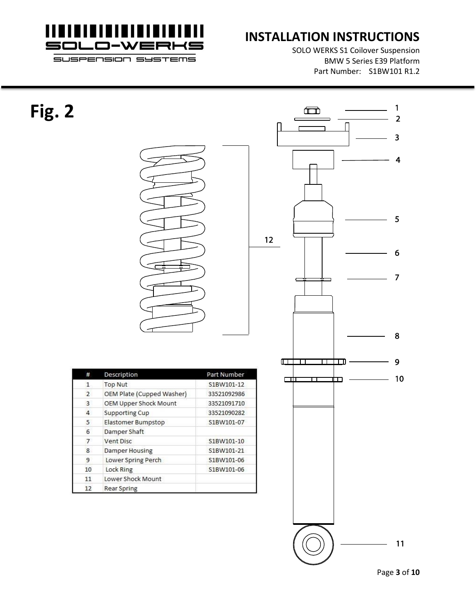

SOLO WERKS S1 Coilover Suspension BMW 5 Series E39 Platform Part Number: S1BW101 R1.2

SUSPENSION SYSTEMS

# **Fig. 2**





| #              | Description               | Part Number |
|----------------|---------------------------|-------------|
| $\mathbf{1}$   | <b>Top Nut</b>            | S1BW101-12  |
| $\overline{2}$ | OEM Plate (Cupped Washer) | 33521092986 |
| 3              | OEM Upper Shock Mount     | 33521091710 |
| 4              | <b>Supporting Cup</b>     | 33521090282 |
| 5              | <b>Elastomer Bumpstop</b> | S1BW101-07  |
| 6              | Damper Shaft              |             |
| 7              | <b>Vent Disc</b>          | S1BW101-10  |
| 8              | <b>Damper Housing</b>     | S1BW101-21  |
| 9              | <b>Lower Spring Perch</b> | S1BW101-06  |
| 10             | <b>Lock Ring</b>          | S1BW101-06  |
| 11             | Lower Shock Mount         |             |
| 12             | Rear Spring               |             |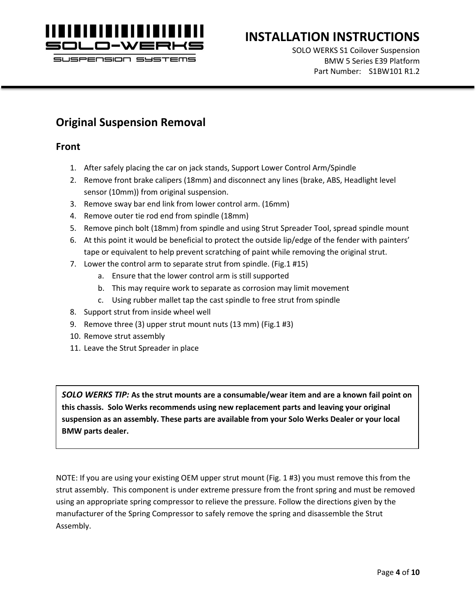

SUSPENSION SYSTEMS

# **INSTALLATION INSTRUCTIONS**

SOLO WERKS S1 Coilover Suspension BMW 5 Series E39 Platform Part Number: S1BW101 R1.2

## **Original Suspension Removal**

#### **Front**

- 1. After safely placing the car on jack stands, Support Lower Control Arm/Spindle
- 2. Remove front brake calipers (18mm) and disconnect any lines (brake, ABS, Headlight level sensor (10mm)) from original suspension.
- 3. Remove sway bar end link from lower control arm. (16mm)
- 4. Remove outer tie rod end from spindle (18mm)
- 5. Remove pinch bolt (18mm) from spindle and using Strut Spreader Tool, spread spindle mount
- 6. At this point it would be beneficial to protect the outside lip/edge of the fender with painters' tape or equivalent to help prevent scratching of paint while removing the original strut.
- 7. Lower the control arm to separate strut from spindle. (Fig.1 #15)
	- a. Ensure that the lower control arm is still supported
	- b. This may require work to separate as corrosion may limit movement
	- c. Using rubber mallet tap the cast spindle to free strut from spindle
- 8. Support strut from inside wheel well
- 9. Remove three (3) upper strut mount nuts (13 mm) (Fig.1 #3)
- 10. Remove strut assembly
- 11. Leave the Strut Spreader in place

*SOLO WERKS TIP:* **As the strut mounts are a consumable/wear item and are a known fail point on this chassis. Solo Werks recommends using new replacement parts and leaving your original suspension as an assembly. These parts are available from your Solo Werks Dealer or your local BMW parts dealer.**

NOTE: If you are using your existing OEM upper strut mount (Fig. 1 #3) you must remove this from the strut assembly. This component is under extreme pressure from the front spring and must be removed using an appropriate spring compressor to relieve the pressure. Follow the directions given by the manufacturer of the Spring Compressor to safely remove the spring and disassemble the Strut Assembly.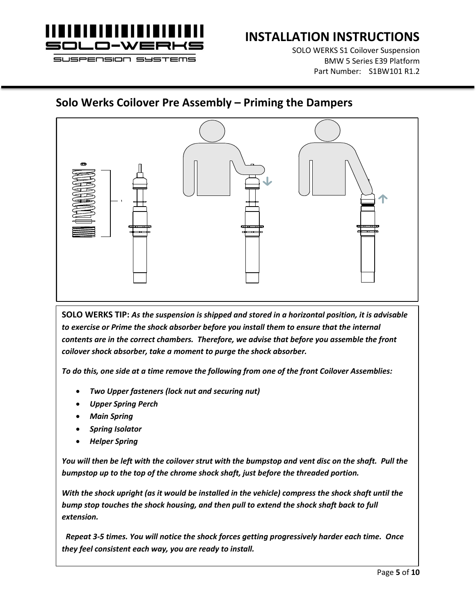

SOLO WERKS S1 Coilover Suspension BMW 5 Series E39 Platform Part Number: S1BW101 R1.2

## **Solo Werks Coilover Pre Assembly – Priming the Dampers**



**SOLO WERKS TIP:** *As the suspension is shipped and stored in a horizontal position, it is advisable to exercise or Prime the shock absorber before you install them to ensure that the internal contents are in the correct chambers. Therefore, we advise that before you assemble the front coilover shock absorber, take a moment to purge the shock absorber.* 

*To do this, one side at a time remove the following from one of the front Coilover Assemblies:*

- *Two Upper fasteners (lock nut and securing nut)*
- *Upper Spring Perch*
- *Main Spring*
- *Spring Isolator*
- *Helper Spring*

*You will then be left with the coilover strut with the bumpstop and vent disc on the shaft. Pull the bumpstop up to the top of the chrome shock shaft, just before the threaded portion.* 

*With the shock upright (as it would be installed in the vehicle) compress the shock shaft until the bump stop touches the shock housing, and then pull to extend the shock shaft back to full extension.*

 *Repeat 3-5 times. You will notice the shock forces getting progressively harder each time. Once they feel consistent each way, you are ready to install.*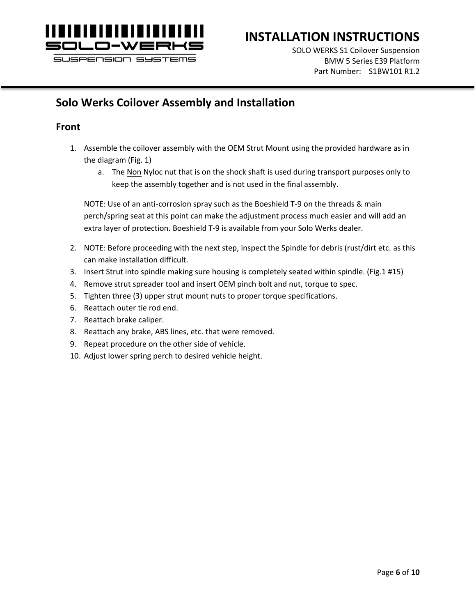

SOLO WERKS S1 Coilover Suspension BMW 5 Series E39 Platform Part Number: S1BW101 R1.2

## **Solo Werks Coilover Assembly and Installation**

#### **Front**

- 1. Assemble the coilover assembly with the OEM Strut Mount using the provided hardware as in the diagram (Fig. 1)
	- a. The Non Nyloc nut that is on the shock shaft is used during transport purposes only to keep the assembly together and is not used in the final assembly.

NOTE: Use of an anti-corrosion spray such as the Boeshield T-9 on the threads & main perch/spring seat at this point can make the adjustment process much easier and will add an extra layer of protection. Boeshield T-9 is available from your Solo Werks dealer.

- 2. NOTE: Before proceeding with the next step, inspect the Spindle for debris (rust/dirt etc. as this can make installation difficult.
- 3. Insert Strut into spindle making sure housing is completely seated within spindle. (Fig.1 #15)
- 4. Remove strut spreader tool and insert OEM pinch bolt and nut, torque to spec.
- 5. Tighten three (3) upper strut mount nuts to proper torque specifications.
- 6. Reattach outer tie rod end.
- 7. Reattach brake caliper.
- 8. Reattach any brake, ABS lines, etc. that were removed.
- 9. Repeat procedure on the other side of vehicle.
- 10. Adjust lower spring perch to desired vehicle height.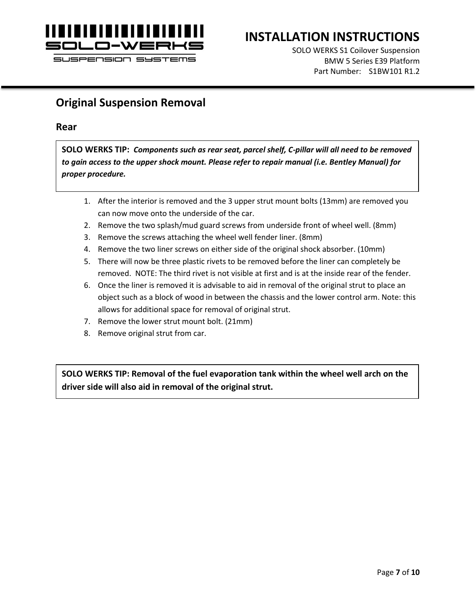

SOLO WERKS S1 Coilover Suspension BMW 5 Series E39 Platform Part Number: S1BW101 R1.2

## **Original Suspension Removal**

#### **Rear**

**SOLO WERKS TIP:** *Components such as rear seat, parcel shelf, C-pillar will all need to be removed to gain access to the upper shock mount. Please refer to repair manual (i.e. Bentley Manual) for proper procedure.*

- 1. After the interior is removed and the 3 upper strut mount bolts (13mm) are removed you can now move onto the underside of the car.
- 2. Remove the two splash/mud guard screws from underside front of wheel well. (8mm)
- 3. Remove the screws attaching the wheel well fender liner. (8mm)
- 4. Remove the two liner screws on either side of the original shock absorber. (10mm)
- 5. There will now be three plastic rivets to be removed before the liner can completely be removed. NOTE: The third rivet is not visible at first and is at the inside rear of the fender.
- 6. Once the liner is removed it is advisable to aid in removal of the original strut to place an object such as a block of wood in between the chassis and the lower control arm. Note: this allows for additional space for removal of original strut.
- 7. Remove the lower strut mount bolt. (21mm)
- 8. Remove original strut from car.

**SOLO WERKS TIP: Removal of the fuel evaporation tank within the wheel well arch on the driver side will also aid in removal of the original strut.**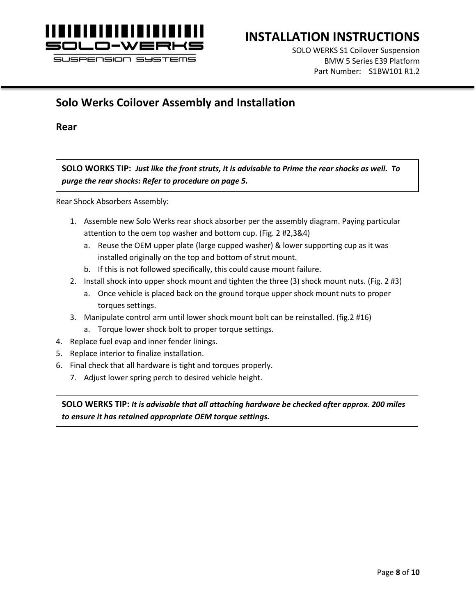

#### SI ISPENSION SYSTEMS

## **INSTALLATION INSTRUCTIONS**

SOLO WERKS S1 Coilover Suspension BMW 5 Series E39 Platform Part Number: S1BW101 R1.2

### **Solo Werks Coilover Assembly and Installation**

**Rear**

**SOLO WORKS TIP:** *Just like the front struts, it is advisable to Prime the rear shocks as well. To purge the rear shocks: Refer to procedure on page 5.*

Rear Shock Absorbers Assembly:

- 1. Assemble new Solo Werks rear shock absorber per the assembly diagram. Paying particular attention to the oem top washer and bottom cup. (Fig. 2 #2,3&4)
	- a. Reuse the OEM upper plate (large cupped washer) & lower supporting cup as it was installed originally on the top and bottom of strut mount.
	- b. If this is not followed specifically, this could cause mount failure.
- 2. Install shock into upper shock mount and tighten the three (3) shock mount nuts. (Fig. 2 #3)
	- a. Once vehicle is placed back on the ground torque upper shock mount nuts to proper torques settings.
- 3. Manipulate control arm until lower shock mount bolt can be reinstalled. (fig.2 #16)
	- a. Torque lower shock bolt to proper torque settings.
- 4. Replace fuel evap and inner fender linings.
- 5. Replace interior to finalize installation.
- 6. Final check that all hardware is tight and torques properly.
	- 7. Adjust lower spring perch to desired vehicle height.

**SOLO WERKS TIP:** *It is advisable that all attaching hardware be checked after approx. 200 miles to ensure it has retained appropriate OEM torque settings.*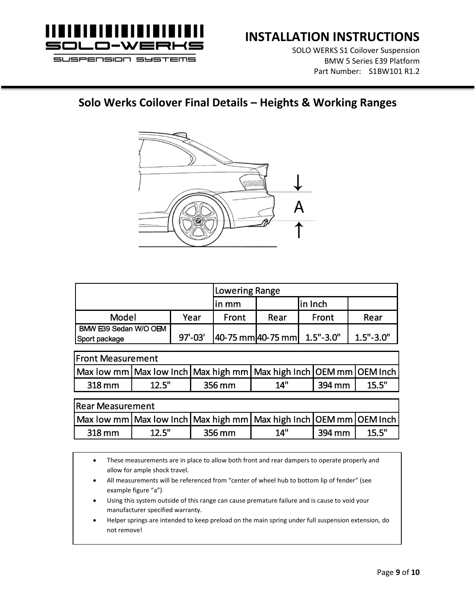

SOLO WERKS S1 Coilover Suspension BMW 5 Series E39 Platform Part Number: S1BW101 R1.2

## **Solo Werks Coilover Final Details – Heights & Working Ranges**



|                       | Lowering Range |                                       |         |       |               |
|-----------------------|----------------|---------------------------------------|---------|-------|---------------|
|                       | in mm          |                                       | in Inch |       |               |
| Model<br>Year         |                | <b>Front</b>                          | Rear    | Front | Rear          |
| BMW E39 Sedan W/O OEM |                |                                       |         |       |               |
| Sport package         | $97' - 03'$    | $ 40-75$ mm $ 40-75$ mm $ 1.5"$ -3.0" |         |       | $1.5" - 3.0"$ |

| <b>Front Measurement</b>                                                    |  |        |     |        |       |  |  |  |
|-----------------------------------------------------------------------------|--|--------|-----|--------|-------|--|--|--|
| Max low mm   Max low Inch   Max high mm   Max high Inch   OEM mm   OEM Inch |  |        |     |        |       |  |  |  |
| 12.5"<br>318 mm                                                             |  | 356 mm | 14" | 394 mm | 15.5" |  |  |  |
| <b>Rear Measurement</b>                                                     |  |        |     |        |       |  |  |  |
|                                                                             |  |        |     |        |       |  |  |  |
| Max low mm   Max low Inch   Max high mm   Max high Inch   OEM mm   OEM Inch |  |        |     |        |       |  |  |  |
| 12.5"<br>318 mm                                                             |  | 356 mm | 14" | 394 mm | 15.5" |  |  |  |

• These measurements are in place to allow both front and rear dampers to operate properly and allow for ample shock travel.

- All measurements will be referenced from "center of wheel hub to bottom lip of fender" (see example figure "a")
- Using this system outside of this range can cause premature failure and is cause to void your manufacturer specified warranty.
- Helper springs are intended to keep preload on the main spring under full suspension extension, do not remove!